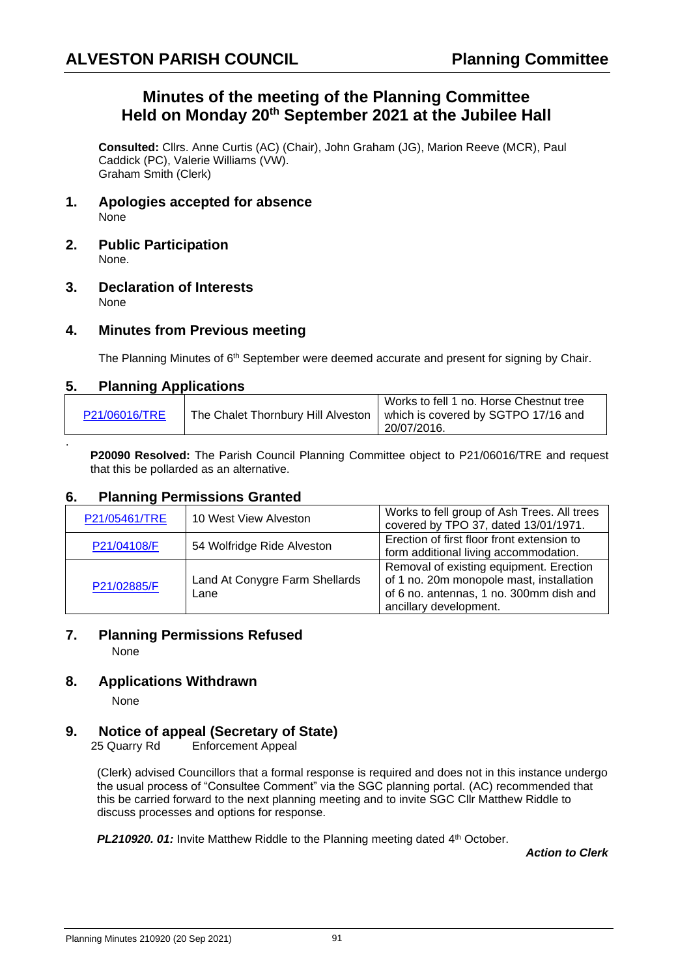# **Minutes of the meeting of the Planning Committee Held on Monday 20th September 2021 at the Jubilee Hall**

**Consulted:** Cllrs. Anne Curtis (AC) (Chair), John Graham (JG), Marion Reeve (MCR), Paul Caddick (PC), Valerie Williams (VW). Graham Smith (Clerk)

- **1. Apologies accepted for absence** None
- **2. Public Participation** None.
- **3. Declaration of Interests** None

# **4. Minutes from Previous meeting**

The Planning Minutes of 6<sup>th</sup> September were deemed accurate and present for signing by Chair.

# **5. Planning Applications**

.

| P21/06016/TRE                                                            | Works to fell 1 no. Horse Chestnut tree |
|--------------------------------------------------------------------------|-----------------------------------------|
| The Chalet Thornbury Hill Alveston   which is covered by SGTPO 17/16 and | 20/07/2016.                             |

**P20090 Resolved:** The Parish Council Planning Committee object to P21/06016/TRE and request that this be pollarded as an alternative.

# **6. Planning Permissions Granted**

| P21/05461/TRE | 10 West View Alveston                  | Works to fell group of Ash Trees. All trees<br>covered by TPO 37, dated 13/01/1971.                                                                      |
|---------------|----------------------------------------|----------------------------------------------------------------------------------------------------------------------------------------------------------|
| P21/04108/F   | 54 Wolfridge Ride Alveston             | Erection of first floor front extension to<br>form additional living accommodation.                                                                      |
| P21/02885/F   | Land At Conygre Farm Shellards<br>Lane | Removal of existing equipment. Erection<br>of 1 no. 20m monopole mast, installation<br>of 6 no. antennas, 1 no. 300mm dish and<br>ancillary development. |

# **7. Planning Permissions Refused**

None

# **8. Applications Withdrawn**

None

# **9. Notice of appeal (Secretary of State)**

25 Quarry Rd Enforcement Appeal

(Clerk) advised Councillors that a formal response is required and does not in this instance undergo the usual process of "Consultee Comment" via the SGC planning portal. (AC) recommended that this be carried forward to the next planning meeting and to invite SGC Cllr Matthew Riddle to discuss processes and options for response.

**PL210920. 01:** Invite Matthew Riddle to the Planning meeting dated 4<sup>th</sup> October.

*Action to Clerk*